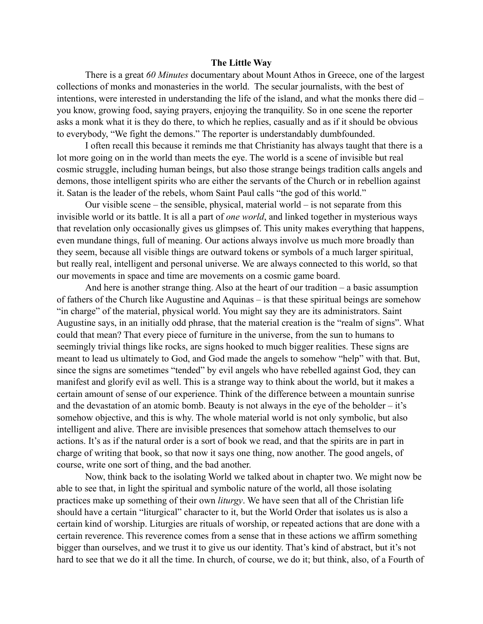## **The Little Way**

There is a great *60 Minutes* documentary about Mount Athos in Greece, one of the largest collections of monks and monasteries in the world. The secular journalists, with the best of intentions, were interested in understanding the life of the island, and what the monks there did – you know, growing food, saying prayers, enjoying the tranquility. So in one scene the reporter asks a monk what it is they do there, to which he replies, casually and as if it should be obvious to everybody, "We fight the demons." The reporter is understandably dumbfounded.

I often recall this because it reminds me that Christianity has always taught that there is a lot more going on in the world than meets the eye. The world is a scene of invisible but real cosmic struggle, including human beings, but also those strange beings tradition calls angels and demons, those intelligent spirits who are either the servants of the Church or in rebellion against it. Satan is the leader of the rebels, whom Saint Paul calls "the god of this world."

Our visible scene – the sensible, physical, material world – is not separate from this invisible world or its battle. It is all a part of *one world*, and linked together in mysterious ways that revelation only occasionally gives us glimpses of. This unity makes everything that happens, even mundane things, full of meaning. Our actions always involve us much more broadly than they seem, because all visible things are outward tokens or symbols of a much larger spiritual, but really real, intelligent and personal universe. We are always connected to this world, so that our movements in space and time are movements on a cosmic game board.

And here is another strange thing. Also at the heart of our tradition – a basic assumption of fathers of the Church like Augustine and Aquinas – is that these spiritual beings are somehow "in charge" of the material, physical world. You might say they are its administrators. Saint Augustine says, in an initially odd phrase, that the material creation is the "realm of signs". What could that mean? That every piece of furniture in the universe, from the sun to humans to seemingly trivial things like rocks, are signs hooked to much bigger realities. These signs are meant to lead us ultimately to God, and God made the angels to somehow "help" with that. But, since the signs are sometimes "tended" by evil angels who have rebelled against God, they can manifest and glorify evil as well. This is a strange way to think about the world, but it makes a certain amount of sense of our experience. Think of the difference between a mountain sunrise and the devastation of an atomic bomb. Beauty is not always in the eye of the beholder – it's somehow objective, and this is why. The whole material world is not only symbolic, but also intelligent and alive. There are invisible presences that somehow attach themselves to our actions. It's as if the natural order is a sort of book we read, and that the spirits are in part in charge of writing that book, so that now it says one thing, now another. The good angels, of course, write one sort of thing, and the bad another.

Now, think back to the isolating World we talked about in chapter two. We might now be able to see that, in light the spiritual and symbolic nature of the world, all those isolating practices make up something of their own *liturgy*. We have seen that all of the Christian life should have a certain "liturgical" character to it, but the World Order that isolates us is also a certain kind of worship. Liturgies are rituals of worship, or repeated actions that are done with a certain reverence. This reverence comes from a sense that in these actions we affirm something bigger than ourselves, and we trust it to give us our identity. That's kind of abstract, but it's not hard to see that we do it all the time. In church, of course, we do it; but think, also, of a Fourth of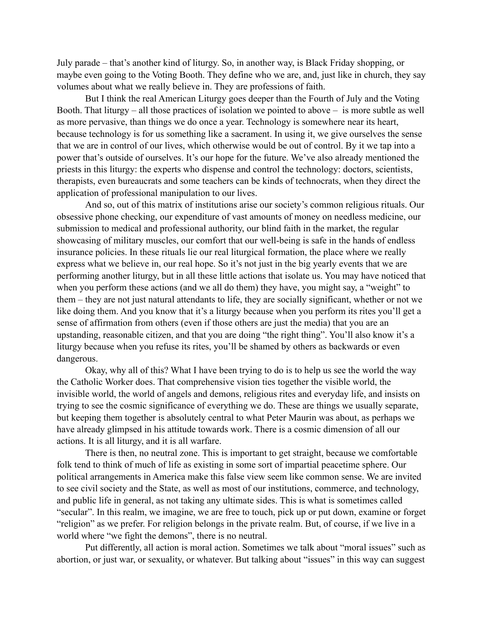July parade – that's another kind of liturgy. So, in another way, is Black Friday shopping, or maybe even going to the Voting Booth. They define who we are, and, just like in church, they say volumes about what we really believe in. They are professions of faith.

But I think the real American Liturgy goes deeper than the Fourth of July and the Voting Booth. That liturgy – all those practices of isolation we pointed to above – is more subtle as well as more pervasive, than things we do once a year. Technology is somewhere near its heart, because technology is for us something like a sacrament. In using it, we give ourselves the sense that we are in control of our lives, which otherwise would be out of control. By it we tap into a power that's outside of ourselves. It's our hope for the future. We've also already mentioned the priests in this liturgy: the experts who dispense and control the technology: doctors, scientists, therapists, even bureaucrats and some teachers can be kinds of technocrats, when they direct the application of professional manipulation to our lives.

And so, out of this matrix of institutions arise our society's common religious rituals. Our obsessive phone checking, our expenditure of vast amounts of money on needless medicine, our submission to medical and professional authority, our blind faith in the market, the regular showcasing of military muscles, our comfort that our well-being is safe in the hands of endless insurance policies. In these rituals lie our real liturgical formation, the place where we really express what we believe in, our real hope. So it's not just in the big yearly events that we are performing another liturgy, but in all these little actions that isolate us. You may have noticed that when you perform these actions (and we all do them) they have, you might say, a "weight" to them – they are not just natural attendants to life, they are socially significant, whether or not we like doing them. And you know that it's a liturgy because when you perform its rites you'll get a sense of affirmation from others (even if those others are just the media) that you are an upstanding, reasonable citizen, and that you are doing "the right thing". You'll also know it's a liturgy because when you refuse its rites, you'll be shamed by others as backwards or even dangerous.

Okay, why all of this? What I have been trying to do is to help us see the world the way the Catholic Worker does. That comprehensive vision ties together the visible world, the invisible world, the world of angels and demons, religious rites and everyday life, and insists on trying to see the cosmic significance of everything we do. These are things we usually separate, but keeping them together is absolutely central to what Peter Maurin was about, as perhaps we have already glimpsed in his attitude towards work. There is a cosmic dimension of all our actions. It is all liturgy, and it is all warfare.

There is then, no neutral zone. This is important to get straight, because we comfortable folk tend to think of much of life as existing in some sort of impartial peacetime sphere. Our political arrangements in America make this false view seem like common sense. We are invited to see civil society and the State, as well as most of our institutions, commerce, and technology, and public life in general, as not taking any ultimate sides. This is what is sometimes called "secular". In this realm, we imagine, we are free to touch, pick up or put down, examine or forget "religion" as we prefer. For religion belongs in the private realm. But, of course, if we live in a world where "we fight the demons", there is no neutral.

Put differently, all action is moral action. Sometimes we talk about "moral issues" such as abortion, or just war, or sexuality, or whatever. But talking about "issues" in this way can suggest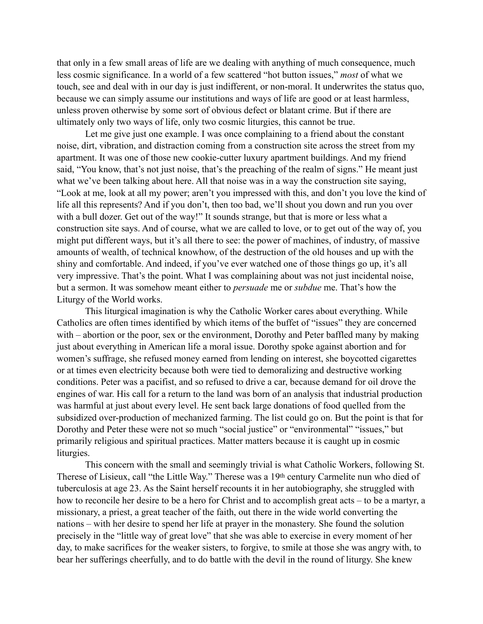that only in a few small areas of life are we dealing with anything of much consequence, much less cosmic significance. In a world of a few scattered "hot button issues," *most* of what we touch, see and deal with in our day is just indifferent, or non-moral. It underwrites the status quo, because we can simply assume our institutions and ways of life are good or at least harmless, unless proven otherwise by some sort of obvious defect or blatant crime. But if there are ultimately only two ways of life, only two cosmic liturgies, this cannot be true.

Let me give just one example. I was once complaining to a friend about the constant noise, dirt, vibration, and distraction coming from a construction site across the street from my apartment. It was one of those new cookie-cutter luxury apartment buildings. And my friend said, "You know, that's not just noise, that's the preaching of the realm of signs." He meant just what we've been talking about here. All that noise was in a way the construction site saying, "Look at me, look at all my power; aren't you impressed with this, and don't you love the kind of life all this represents? And if you don't, then too bad, we'll shout you down and run you over with a bull dozer. Get out of the way!" It sounds strange, but that is more or less what a construction site says. And of course, what we are called to love, or to get out of the way of, you might put different ways, but it's all there to see: the power of machines, of industry, of massive amounts of wealth, of technical knowhow, of the destruction of the old houses and up with the shiny and comfortable. And indeed, if you've ever watched one of those things go up, it's all very impressive. That's the point. What I was complaining about was not just incidental noise, but a sermon. It was somehow meant either to *persuade* me or *subdue* me. That's how the Liturgy of the World works.

This liturgical imagination is why the Catholic Worker cares about everything. While Catholics are often times identified by which items of the buffet of "issues" they are concerned with – abortion or the poor, sex or the environment, Dorothy and Peter baffled many by making just about everything in American life a moral issue. Dorothy spoke against abortion and for women's suffrage, she refused money earned from lending on interest, she boycotted cigarettes or at times even electricity because both were tied to demoralizing and destructive working conditions. Peter was a pacifist, and so refused to drive a car, because demand for oil drove the engines of war. His call for a return to the land was born of an analysis that industrial production was harmful at just about every level. He sent back large donations of food quelled from the subsidized over-production of mechanized farming. The list could go on. But the point is that for Dorothy and Peter these were not so much "social justice" or "environmental" "issues," but primarily religious and spiritual practices. Matter matters because it is caught up in cosmic liturgies.

This concern with the small and seemingly trivial is what Catholic Workers, following St. Therese of Lisieux, call "the Little Way." Therese was a 19th century Carmelite nun who died of tuberculosis at age 23. As the Saint herself recounts it in her autobiography, she struggled with how to reconcile her desire to be a hero for Christ and to accomplish great acts – to be a martyr, a missionary, a priest, a great teacher of the faith, out there in the wide world converting the nations – with her desire to spend her life at prayer in the monastery. She found the solution precisely in the "little way of great love" that she was able to exercise in every moment of her day, to make sacrifices for the weaker sisters, to forgive, to smile at those she was angry with, to bear her sufferings cheerfully, and to do battle with the devil in the round of liturgy. She knew